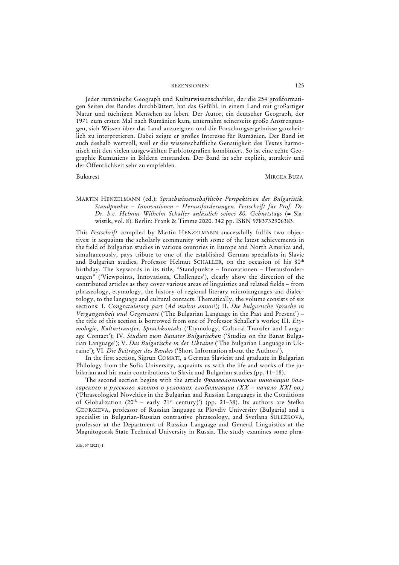Jeder rumänische Geograph und Kulturwissenschaftler, der die 254 großformatigen Seiten des Bandes durchblättert, hat das Gefühl, in einem Land mit großartiger Natur und tüchtigen Menschen zu leben. Der Autor, ein deutscher Geograph, der 1971 zum ersten Mal nach Rumänien kam, unternahm seinerseits große Anstrengungen, sich Wissen über das Land anzueignen und die Forschungsergebnisse ganzheitlich zu interpretieren. Dabei zeigte er großes Interesse für Rumänien. Der Band ist auch deshalb wertvoll, weil er die wissenschaftliche Genauigkeit des Textes harmonisch mit den vielen ausgewählten Farbfotografien kombiniert. So ist eine echte Geographie Rumäniens in Bildern entstanden. Der Band ist sehr explizit, attraktiv und der Öffentlichkeit sehr zu empfehlen.

# Bukarest MIRCEA BUZA

# MARTIN HENZELMANN (ed.): *Sprachwissenschaftliche Perspektiven der Bulgaristik. Standpunkte – Innovationen – Herausforderungen. Festschrift für Prof. Dr. Dr. h.c. Helmut Wilhelm Schaller anlässlich seines 80. Geburtstags* (= Slawistik, vol. 8). Berlin: Frank & Timme 2020. 342 pp. ISBN 9783732906383.

This *Festschrift* compiled by Martin HENZELMANN successfully fulfils two objectives: it acquaints the scholarly community with some of the latest achievements in the field of Bulgarian studies in various countries in Europe and North America and, simultaneously, pays tribute to one of the established German specialists in Slavic and Bulgarian studies, Professor Helmut SCHALLER, on the occasion of his 80<sup>th</sup> birthday. The keywords in its title, "Standpunkte – Innovationen – Herausforderungen" ('Viewpoints, Innovations, Challenges'), clearly show the direction of the contributed articles as they cover various areas of linguistics and related fields – from phraseology, etymology, the history of regional literary microlanguages and dialectology, to the language and cultural contacts. Thematically, the volume consists of six sections: I. *Congratulatory part* (*Ad multos annos!*); II. *Die bulgarische Sprache in Vergangenheit und Gegenwart* ('The Bulgarian Language in the Past and Present') – the title of this section is borrowed from one of Professor Schaller's works; III. *Etymologie, Kulturtransfer, Sprachkontakt* ('Etymology, Cultural Transfer and Language Contact'); IV. *Studien zum Banater Bulgarischen* ('Studies on the Banat Bulgarian Language'); V. *Das Bulgarische in der Ukraine* ('The Bulgarian Language in Ukraine'); VI. *Die Beiträger des Bandes* ('Short Information about the Authors').

In the first section, Sigrun COMATI, a German Slavicist and graduate in Bulgarian Philology from the Sofia University, acquaints us with the life and works of the jubilarian and his main contributions to Slavic and Bulgarian studies (pp. 11–18).

The second section begins with the article *Фразеологические инновации болгарского и русского языков в условиях глобализации (XX – начало XXI вв.)* ('Phraseological Novelties in the Bulgarian and Russian Languages in the Conditions of Globalization (20<sup>th</sup> – early 21<sup>st</sup> century)') (pp. 21-38). Its authors are Stefka GEORGIEVA, professor of Russian language at Plovdiv University (Bulgaria) and a specialist in Bulgarian-Russian contrastive phraseology, and Svetlana ŠULEŽKOVA, professor at the Department of Russian Language and General Linguistics at the Magnitogorsk State Technical University in Russia. The study examines some phra-

ZfB, 57 (2021) 1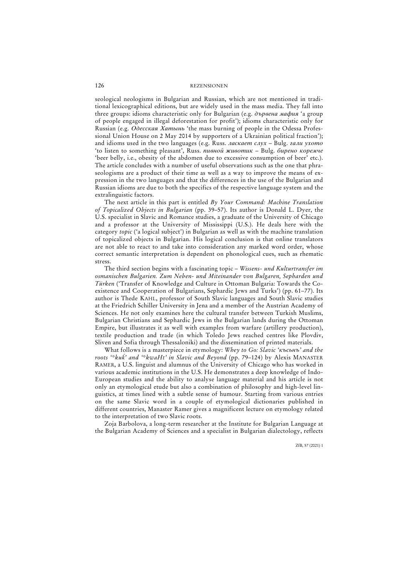seological neologisms in Bulgarian and Russian, which are not mentioned in traditional lexicographical editions, but are widely used in the mass media. They fall into three groups: idioms characteristic only for Bulgarian (e.g. *дървена мафия* 'a group of people engaged in illegal deforestation for profit'); idioms characteristic only for Russian (e.g. *Одесская Хатынь* 'the mass burning of people in the Odessa Professional Union House on 2 May 2014 by supporters of a Ukrainian political fraction'); and idioms used in the two languages (e.g. Russ. *ласкает слух –* Bulg. *гали ухото* 'to listen to something pleasant', Russ. *пивной животик –* Bulg. *бирено коремче* 'beer belly, i.e., obesity of the abdomen due to excessive consumption of beer' etc.). The article concludes with a number of useful observations such as the one that phraseologisms are a product of their time as well as a way to improve the means of expression in the two languages and that the differences in the use of the Bulgarian and Russian idioms are due to both the specifics of the respective language system and the extralinguistic factors.

The next article in this part is entitled *By Your Command: Machine Translation of Topicalized Objects in Bulgarian* (pp. 39–57). Its author is Donald L. Dyer, the U.S. specialist in Slavic and Romance studies, a graduate of the University of Chicago and a professor at the University of Mississippi (U.S.). He deals here with the category *topic* ('a logical subject') in Bulgarian as well as with the machine translation of topicalized objects in Bulgarian. His logical conclusion is that online translators are not able to react to and take into consideration any marked word order, whose correct semantic interpretation is dependent on phonological cues, such as rhematic stress.

The third section begins with a fascinating topic – *Wissens- und Kulturtransfer im osmanischen Bulgarien. Zum Neben- und Miteinander von Bulgaren, Sepharden und Türken* ('Transfer of Knowledge and Culture in Ottoman Bulgaria: Towards the Coexistence and Cooperation of Bulgarians, Sephardic Jews and Turks') (pp. 61–77). Its author is Thede KAHL, professor of South Slavic languages and South Slavic studies at the Friedrich Schiller University in Jena and a member of the Austrian Academy of Sciences. He not only examines here the cultural transfer between Turkish Muslims, Bulgarian Christians and Sephardic Jews in the Bulgarian lands during the Ottoman Empire, but illustrates it as well with examples from warfare (artillery production), textile production and trade (in which Toledo Jews reached centres like Plovdiv, Sliven and Sofia through Thessaloniki) and the dissemination of printed materials.

What follows is a masterpiece in etymology: *Whey to Go: Slavic 'късьнъ' and the roots '\*kuḱ' and '\*kwaHt' in Slavic and Beyond* (pp. 79–124) by Alexis MANASTER RAMER, a U.S. linguist and alumnus of the University of Chicago who has worked in various academic institutions in the U.S. He demonstrates a deep knowledge of Indo-European studies and the ability to analyse language material and his article is not only an etymological etude but also a combination of philosophy and high-level linguistics, at times lined with a subtle sense of humour. Starting from various entries on the same Slavic word in a couple of etymological dictionaries published in different countries, Manaster Ramer gives a magnificent lecture on etymology related to the interpretation of two Slavic roots.

Zoja Barbolova, a long-term researcher at the Institute for Bulgarian Language at the Bulgarian Academy of Sciences and a specialist in Bulgarian dialectology, reflects

126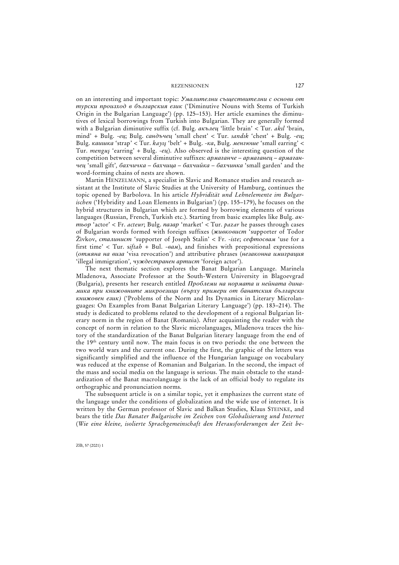on an interesting and important topic: *Умалителни съществителни с основи от турски произход в българския език* ('Diminutive Nouns with Stems of Turkish Origin in the Bulgarian Language') (pp. 125–153). Her article examines the diminutives of lexical borrowings from Turkish into Bulgarian. They are generally formed with a Bulgarian diminutive suffix (cf. Bulg. *акълец* 'little brain' < Tur. *akıl* 'brain, mind' *+* Bulg. -*ец*; Bulg. *сандъчец* 'small chest' < Tur. *sandık* 'chest' *+* Bulg. -*ец*; Bulg. *каишка* 'strap' < Tur. *kayış* 'belt' *+* Bulg. -*ка*, Bulg. *менгюше* 'small earring' < Tur. *menguş* 'earring' *+* Bulg. -*ец*). Also observed is the interesting question of the competition between several diminutive suffixes: *армаганче – армаганец – армаганчец* 'small gift'*, бахчичка – бахчица – бахчийка – бахчинка* 'small garden' and the word-forming chains of nests are shown.

Martin HENZELMANN, a specialist in Slavic and Romance studies and research assistant at the Institute of Slavic Studies at the University of Hamburg, continues the topic opened by Barbolova. In his article *Hybridität und Lehnelemente im Bulgarischen* ('Hybridity and Loan Elements in Bulgarian') (pp. 155–179), he focuses on the hybrid structures in Bulgarian which are formed by borrowing elements of various languages (Russian, French, Turkish etc.). Starting from basic examples like Bulg. *актьор* 'actor' < Fr. *acteur*; Bulg. *пазар* 'market' < Tur. *pazar* he passes through cases of Bulgarian words formed with foreign suffixes (*живковист* 'supporter of Todor Žìvkov, *сталинист* 'supporter of Joseph Stalin' < Fr. -*iste*; *сефтосвам* 'use for a first time' < Tur. s*iftah +* Bul. *-вам*), and finishes with prepositional expressions (*отмяна на виза* 'visa revocation') and attributive phrases (*незаконна имиграция* 'illegal immigration'*, чуждестранен артист* 'foreign actor').

The next thematic section explores the Banat Bulgarian Language. Marinela Mladenova, Associate Professor at the South-Western University in Blagoevgrad (Bulgaria), presents her research entitled *Проблеми на нормата и нейната динамика при книжовните микроезици (върху примери от банатския български книжовен език)* ('Problems of the Norm and Its Dynamics in Literary Microlanguages: On Examples from Banat Bulgarian Literary Language') (pp. 183–214). The study is dedicated to problems related to the development of a regional Bulgarian literary norm in the region of Banat (Romania). After acquainting the reader with the concept of norm in relation to the Slavic microlanguages, Mladenova traces the history of the standardization of the Banat Bulgarian literary language from the end of the 19th century until now. The main focus is on two periods: the one between the two world wars and the current one. During the first, the graphic of the letters was significantly simplified and the influence of the Hungarian language on vocabulary was reduced at the expense of Romanian and Bulgarian. In the second, the impact of the mass and social media on the language is serious. The main obstacle to the standardization of the Banat macrolanguage is the lack of an official body to regulate its orthographic and pronunciation norms.

The subsequent article is on a similar topic, yet it emphasizes the current state of the language under the conditions of globalization and the wide use of internet. It is written by the German professor of Slavic and Balkan Studies, Klaus STEINKE, and bears the title *Das Banater Bulgarische im Zeichen von Globalisierung und Internet*  (*Wie eine kleine, isolierte Sprachgemeinschaft den Herausforderungen der Zeit be-*

ZfB, 57 (2021) 1